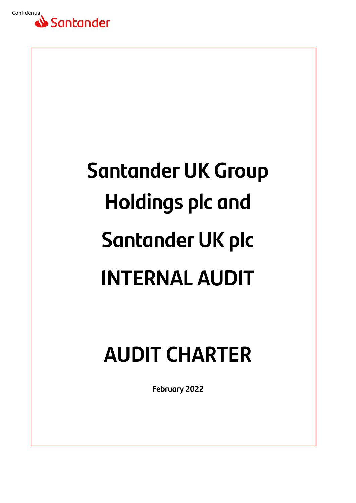

# **Santander UK Group Holdings plc and Santander UK plc INTERNAL AUDIT**

# **AUDIT CHARTER**

**February 2022**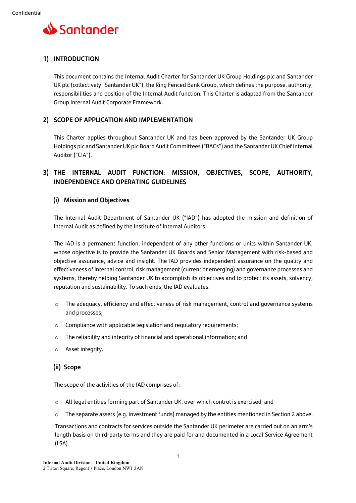

# **1) INTRODUCTION**

This document contains the Internal Audit Charter for Santander UK Group Holdings plc and Santander UK plc (collectively "Santander UK"), the Ring Fenced Bank Group, which defines the purpose, authority, responsibilities and position of the Internal Audit function. This Charter is adapted from the Santander Group Internal Audit Corporate Framework.

# **2) SCOPE OF APPLICATION AND IMPLEMENTATION**

This Charter applies throughout Santander UK and has been approved by the Santander UK Group Holdings plc and Santander UK plc Board Audit Committees ("BACs") and the Santander UK Chief Internal Auditor ("CIA").

# **3) THE INTERNAL AUDIT FUNCTION: MISSION, OBJECTIVES, SCOPE, AUTHORITY, INDEPENDENCE AND OPERATING GUIDELINES**

#### **(i) Mission and Objectives**

The Internal Audit Department of Santander UK ("IAD") has adopted the mission and definition of Internal Audit as defined by the Institute of Internal Auditors.

The IAD is a permanent function, independent of any other functions or units within Santander UK, whose objective is to provide the Santander UK Boards and Senior Management with risk-based and objective assurance, advice and insight. The IAD provides independent assurance on the quality and effectiveness of internal control, risk management (current or emerging) and governance processes and systems, thereby helping Santander UK to accomplish its objectives and to protect its assets, solvency, reputation and sustainability. To such ends, the IAD evaluates:

- $\circ$  The adequacy, efficiency and effectiveness of risk management, control and governance systems and processes;
- o Compliance with applicable legislation and regulatory requirements;
- o The reliability and integrity of financial and operational information; and
- o Asset integrity.

## **(ii) Scope**

The scope of the activities of the IAD comprises of:

- o All legal entities forming part of Santander UK, over which control is exercised; and
- $\circ$  The separate assets (e.g. investment funds) managed by the entities mentioned in Section 2 above.

Transactions and contracts for services outside the Santander UK perimeter are carried out on an arm's length basis on third-party terms and they are paid for and documented in a Local Service Agreement (LSA).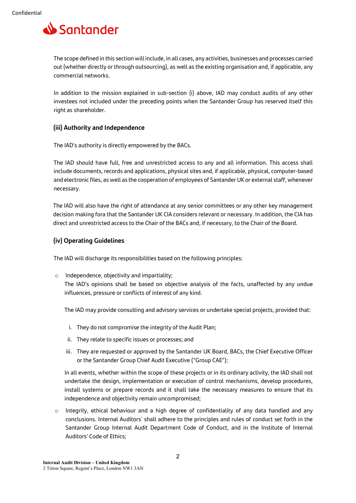

The scope defined in this section will include, in all cases, any activities, businesses and processes carried out (whether directly or through outsourcing), as well as the existing organisation and, if applicable, any commercial networks.

In addition to the mission explained in sub-section (i) above, IAD may conduct audits of any other investees not included under the preceding points when the Santander Group has reserved itself this right as shareholder.

#### **(iii) Authority and Independence**

The IAD's authority is directly empowered by the BACs.

The IAD should have full, free and unrestricted access to any and all information. This access shall include documents, records and applications, physical sites and, if applicable, physical, computer-based and electronic files, as well as the cooperation of employees of Santander UK or external staff, whenever necessary.

The IAD will also have the right of attendance at any senior committees or any other key management decision making fora that the Santander UK CIA considers relevant or necessary. In addition, the CIA has direct and unrestricted access to the Chair of the BACs and, if necessary, to the Chair of the Board.

#### **(iv) Operating Guidelines**

The IAD will discharge its responsibilities based on the following principles:

o Independence, objectivity and impartiality;

The IAD's opinions shall be based on objective analysis of the facts, unaffected by any undue influences, pressure or conflicts of interest of any kind.

The IAD may provide consulting and advisory services or undertake special projects, provided that:

- i. They do not compromise the integrity of the Audit Plan;
- ii. They relate to specific issues or processes; and
- iii. They are requested or approved by the Santander UK Board, BACs, the Chief Executive Officer or the Santander Group Chief Audit Executive ("Group CAE");

In all events, whether within the scope of these projects or in its ordinary activity, the IAD shall not undertake the design, implementation or execution of control mechanisms, develop procedures, install systems or prepare records and it shall take the necessary measures to ensure that its independence and objectivity remain uncompromised;

 $\circ$  Integrity, ethical behaviour and a high degree of confidentiality of any data handled and any conclusions. Internal Auditors´ shall adhere to the principles and rules of conduct set forth in the Santander Group Internal Audit Department Code of Conduct, and in the Institute of Internal Auditors' Code of Ethics;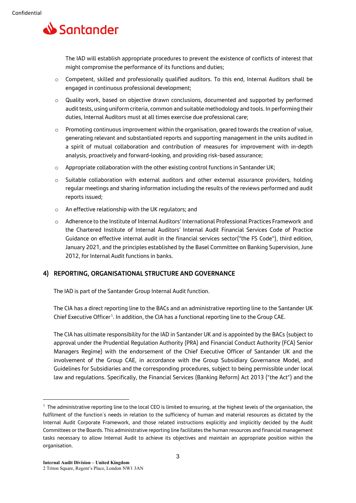

The IAD will establish appropriate procedures to prevent the existence of conflicts of interest that might compromise the performance of its functions and duties;

- o Competent, skilled and professionally qualified auditors. To this end, Internal Auditors shall be engaged in continuous professional development;
- o Quality work, based on objective drawn conclusions, documented and supported by performed audit tests, using uniform criteria, common and suitable methodology and tools. In performing their duties, Internal Auditors must at all times exercise due professional care;
- $\circ$  Promoting continuous improvement within the organisation, geared towards the creation of value, generating relevant and substantiated reports and supporting management in the units audited in a spirit of mutual collaboration and contribution of measures for improvement with in-depth analysis, proactively and forward-looking, and providing risk-based assurance;
- $\circ$  Appropriate collaboration with the other existing control functions in Santander UK;
- o Suitable collaboration with external auditors and other external assurance providers, holding regular meetings and sharing information including the results of the reviews performed and audit reports issued;
- o An effective relationship with the UK regulators; and
- o Adherence to the Institute of Internal Auditors' International Professional Practices Framework and the Chartered Institute of Internal Auditors' Internal Audit Financial Services Code of Practice Guidance on effective internal audit in the financial services sector("the FS Code"), third edition, January 2021, and the principles established by the Basel Committee on Banking Supervision, June 2012, for Internal Audit functions in banks.

#### **4) REPORTING, ORGANISATIONAL STRUCTURE AND GOVERNANCE**

The IAD is part of the Santander Group Internal Audit function.

The CIA has a direct reporting line to the BACs and an administrative reporting line to the Santander UK Chief Executive Officer<sup>[1](#page-3-0)</sup>. In addition, the CIA has a functional reporting line to the Group CAE.

The CIA has ultimate responsibility for the IAD in Santander UK and is appointed by the BACs (subject to approval under the Prudential Regulation Authority (PRA) and Financial Conduct Authority (FCA) Senior Managers Regime) with the endorsement of the Chief Executive Officer of Santander UK and the involvement of the Group CAE, in accordance with the Group Subsidiary Governance Model, and Guidelines for Subsidiaries and the corresponding procedures, subject to being permissible under local law and regulations. Specifically, the Financial Services (Banking Reform) Act 2013 ("the Act") and the

<span id="page-3-0"></span><sup>&</sup>lt;sup>1</sup> The administrative reporting line to the local CEO is limited to ensuring, at the highest levels of the organisation, the fulfilment of the function´s needs in relation to the sufficiency of human and material resources as dictated by the Internal Audit Corporate Framework, and those related instructions explicitly and implicitly decided by the Audit Committees or the Boards. This administrative reporting line facilitates the human resources and financial management tasks necessary to allow Internal Audit to achieve its objectives and maintain an appropriate position within the organisation.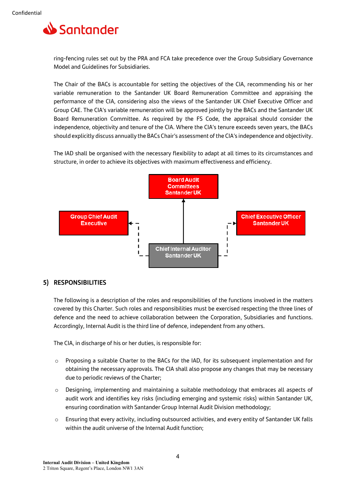

ring-fencing rules set out by the PRA and FCA take precedence over the Group Subsidiary Governance Model and Guidelines for Subsidiaries.

The Chair of the BACs is accountable for setting the objectives of the CIA, recommending his or her variable remuneration to the Santander UK Board Remuneration Committee and appraising the performance of the CIA, considering also the views of the Santander UK Chief Executive Officer and Group CAE. The CIA's variable remuneration will be approved jointly by the BACs and the Santander UK Board Remuneration Committee. As required by the FS Code, the appraisal should consider the independence, objectivity and tenure of the CIA. Where the CIA's tenure exceeds seven years, the BACs should explicitly discuss annually the BACs Chair's assessment of the CIA's independence and objectivity.

The IAD shall be organised with the necessary flexibility to adapt at all times to its circumstances and structure, in order to achieve its objectives with maximum effectiveness and efficiency.



#### **5) RESPONSIBILITIES**

The following is a description of the roles and responsibilities of the functions involved in the matters covered by this Charter. Such roles and responsibilities must be exercised respecting the three lines of defence and the need to achieve collaboration between the Corporation, Subsidiaries and functions. Accordingly, Internal Audit is the third line of defence, independent from any others.

The CIA, in discharge of his or her duties, is responsible for:

- $\circ$  Proposing a suitable Charter to the BACs for the IAD, for its subsequent implementation and for obtaining the necessary approvals. The CIA shall also propose any changes that may be necessary due to periodic reviews of the Charter;
- $\circ$  Designing, implementing and maintaining a suitable methodology that embraces all aspects of audit work and identifies key risks (including emerging and systemic risks) within Santander UK, ensuring coordination with Santander Group Internal Audit Division methodology;
- o Ensuring that every activity, including outsourced activities, and every entity of Santander UK falls within the audit universe of the Internal Audit function;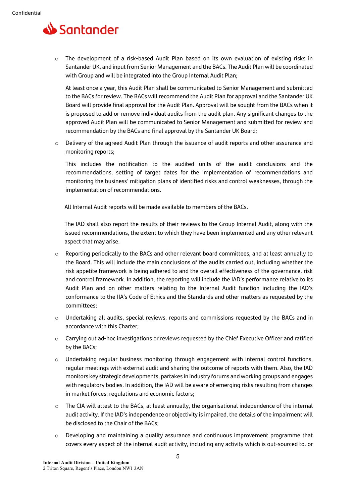

 $\circ$  The development of a risk-based Audit Plan based on its own evaluation of existing risks in Santander UK, and input from Senior Management and the BACs. The Audit Plan will be coordinated with Group and will be integrated into the Group Internal Audit Plan;

At least once a year, this Audit Plan shall be communicated to Senior Management and submitted to the BACs for review. The BACs will recommend the Audit Plan for approval and the Santander UK Board will provide final approval for the Audit Plan. Approval will be sought from the BACs when it is proposed to add or remove individual audits from the audit plan. Any significant changes to the approved Audit Plan will be communicated to Senior Management and submitted for review and recommendation by the BACs and final approval by the Santander UK Board;

o Delivery of the agreed Audit Plan through the issuance of audit reports and other assurance and monitoring reports;

This includes the notification to the audited units of the audit conclusions and the recommendations, setting of target dates for the implementation of recommendations and monitoring the business' mitigation plans of identified risks and control weaknesses, through the implementation of recommendations.

All Internal Audit reports will be made available to members of the BACs.

The IAD shall also report the results of their reviews to the Group Internal Audit, along with the issued recommendations, the extent to which they have been implemented and any other relevant aspect that may arise.

- o Reporting periodically to the BACs and other relevant board committees, and at least annually to the Board. This will include the main conclusions of the audits carried out, including whether the risk appetite framework is being adhered to and the overall effectiveness of the governance, risk and control framework. In addition, the reporting will include the IAD's performance relative to its Audit Plan and on other matters relating to the Internal Audit function including the IAD's conformance to the IIA's Code of Ethics and the Standards and other matters as requested by the committees;
- o Undertaking all audits, special reviews, reports and commissions requested by the BACs and in accordance with this Charter;
- $\circ$  Carrying out ad-hoc investigations or reviews requested by the Chief Executive Officer and ratified by the BACs;
- o Undertaking regular business monitoring through engagement with internal control functions, regular meetings with external audit and sharing the outcome of reports with them. Also, the IAD monitors key strategic developments, partakes in industry forums and working groups and engages with regulatory bodies. In addition, the IAD will be aware of emerging risks resulting from changes in market forces, regulations and economic factors;
- o The CIA will attest to the BACs, at least annually, the organisational independence of the internal audit activity. If the IAD's independence or objectivity is impaired, the details of the impairment will be disclosed to the Chair of the BACs;
- $\circ$  Developing and maintaining a quality assurance and continuous improvement programme that covers every aspect of the internal audit activity, including any activity which is out-sourced to, or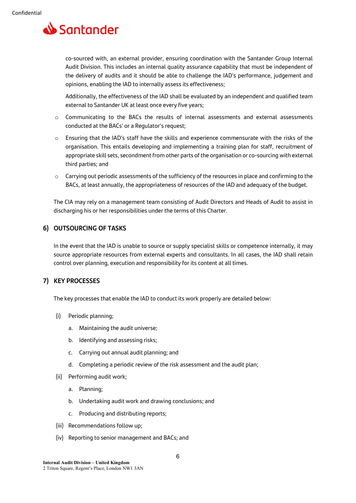

co-sourced with, an external provider, ensuring coordination with the Santander Group Internal Audit Division. This includes an internal quality assurance capability that must be independent of the delivery of audits and it should be able to challenge the IAD's performance, judgement and opinions, enabling the IAD to internally assess its effectiveness;

Additionally, the effectiveness of the IAD shall be evaluated by an independent and qualified team external to Santander UK at least once every five years;

- o Communicating to the BACs the results of internal assessments and external assessments conducted at the BACs' or a Regulator's request;
- o Ensuring that the IAD's staff have the skills and experience commensurate with the risks of the organisation. This entails developing and implementing a training plan for staff, recruitment of appropriate skill sets, secondment from other parts of the organisation or co-sourcing with external third parties; and
- o Carrying out periodic assessments of the sufficiency of the resources in place and confirming to the BACs, at least annually, the appropriateness of resources of the IAD and adequacy of the budget.

The CIA may rely on a management team consisting of Audit Directors and Heads of Audit to assist in discharging his or her responsibilities under the terms of this Charter.

#### **6) OUTSOURCING OF TASKS**

In the event that the IAD is unable to source or supply specialist skills or competence internally, it may source appropriate resources from external experts and consultants. In all cases, the IAD shall retain control over planning, execution and responsibility for its content at all times.

## **7) KEY PROCESSES**

The key processes that enable the IAD to conduct its work properly are detailed below:

- (i) Periodic planning;
	- a. Maintaining the audit universe;
	- b. Identifying and assessing risks;
	- c. Carrying out annual audit planning; and
	- d. Completing a periodic review of the risk assessment and the audit plan;
- (ii) Performing audit work;
	- a. Planning;
	- b. Undertaking audit work and drawing conclusions; and
	- c. Producing and distributing reports;
- (iii) Recommendations follow up;
- (iv) Reporting to senior management and BACs; and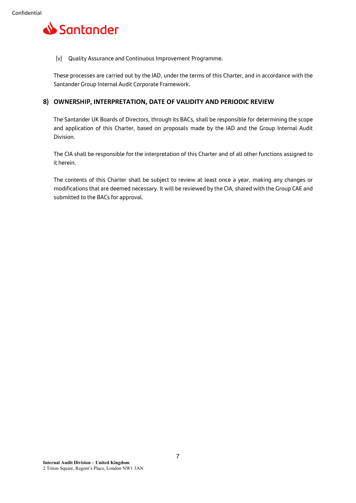

(v) Quality Assurance and Continuous Improvement Programme.

These processes are carried out by the IAD, under the terms of this Charter, and in accordance with the Santander Group Internal Audit Corporate Framework.

#### **8) OWNERSHIP, INTERPRETATION, DATE OF VALIDITY AND PERIODIC REVIEW**

The Santander UK Boards of Directors, through its BACs, shall be responsible for determining the scope and application of this Charter, based on proposals made by the IAD and the Group Internal Audit Division.

The CIA shall be responsible for the interpretation of this Charter and of all other functions assigned to it herein.

The contents of this Charter shall be subject to review at least once a year, making any changes or modifications that are deemed necessary. It will be reviewed by the CIA, shared with the Group CAE and submitted to the BACs for approval.